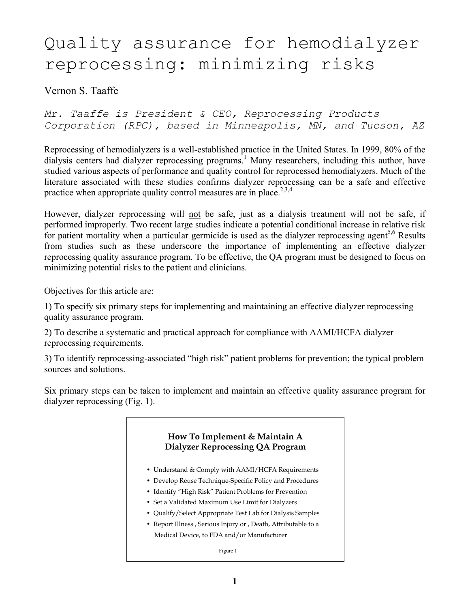# Quality assurance for hemodialyzer reprocessing: minimizing risks

Vernon S. Taaffe

*Mr. Taaffe is President & CEO, Reprocessing Products Corporation (RPC), based in Minneapolis, MN, and Tucson, AZ* 

Reprocessing of hemodialyzers is a well-established practice in the United States. In 1999, 80% of the dialysis centers had dialyzer reprocessing programs. 1 Many researchers, including this author, have studied various aspects of performance and quality control for reprocessed hemodialyzers. Much of the literature associated with these studies confirms dialyzer reprocessing can be a safe and effective practice when appropriate quality control measures are in place.<sup>2,3,4</sup>

However, dialyzer reprocessing will not be safe, just as a dialysis treatment will not be safe, if performed improperly. Two recent large studies indicate a potential conditional increase in relative risk for patient mortality when a particular germicide is used as the dialyzer reprocessing agent<sup>5,6</sup> Results from studies such as these underscore the importance of implementing an effective dialyzer reprocessing quality assurance program. To be effective, the QA program must be designed to focus on minimizing potential risks to the patient and clinicians.

Objectives for this article are:

1) To specify six primary steps for implementing and maintaining an effective dialyzer reprocessing quality assurance program.

2) To describe a systematic and practical approach for compliance with AAMI/HCFA dialyzer reprocessing requirements.

3) To identify reprocessing-associated "high risk" patient problems for prevention; the typical problem sources and solutions.

Six primary steps can be taken to implement and maintain an effective quality assurance program for dialyzer reprocessing (Fig. 1).

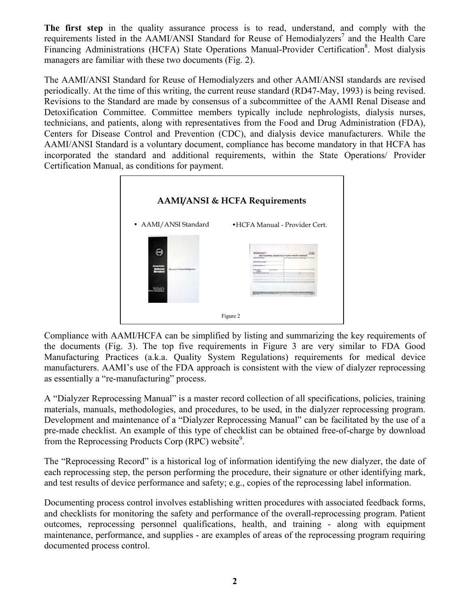**The first step** in the quality assurance process is to read, understand, and comply with the requirements listed in the AAMI/ANSI Standard for Reuse of Hemodialyzers<sup>7</sup> and the Health Care Financing Administrations (HCFA) State Operations Manual-Provider Certification<sup>8</sup>. Most dialysis managers are familiar with these two documents (Fig. 2).

The AAMI/ANSI Standard for Reuse of Hemodialyzers and other AAMI/ANSI standards are revised periodically. At the time of this writing, the current reuse standard (RD47-May, 1993) is being revised. Revisions to the Standard are made by consensus of a subcommittee of the AAMI Renal Disease and Detoxification Committee. Committee members typically include nephrologists, dialysis nurses, technicians, and patients, along with representatives from the Food and Drug Administration (FDA), Centers for Disease Control and Prevention (CDC), and dialysis device manufacturers. While the AAMI/ANSI Standard is a voluntary document, compliance has become mandatory in that HCFA has incorporated the standard and additional requirements, within the State Operations/ Provider Certification Manual, as conditions for payment.



Compliance with AAMI/HCFA can be simplified by listing and summarizing the key requirements of the documents (Fig. 3). The top five requirements in Figure 3 are very similar to FDA Good Manufacturing Practices (a.k.a. Quality System Regulations) requirements for medical device manufacturers. AAMI's use of the FDA approach is consistent with the view of dialyzer reprocessing as essentially a "re-manufacturing" process.

A "Dialyzer Reprocessing Manual" is a master record collection of all specifications, policies, training materials, manuals, methodologies, and procedures, to be used, in the dialyzer reprocessing program. Development and maintenance of a "Dialyzer Reprocessing Manual" can be facilitated by the use of a pre-made checklist. An example of this type of checklist can be obtained free-of-charge by download from the Reprocessing Products Corp  $(RPC)$  website<sup>9</sup>.

The "Reprocessing Record" is a historical log of information identifying the new dialyzer, the date of each reprocessing step, the person performing the procedure, their signature or other identifying mark, and test results of device performance and safety; e.g., copies of the reprocessing label information.

Documenting process control involves establishing written procedures with associated feedback forms, and checklists for monitoring the safety and performance of the overall-reprocessing program. Patient outcomes, reprocessing personnel qualifications, health, and training - along with equipment maintenance, performance, and supplies - are examples of areas of the reprocessing program requiring documented process control.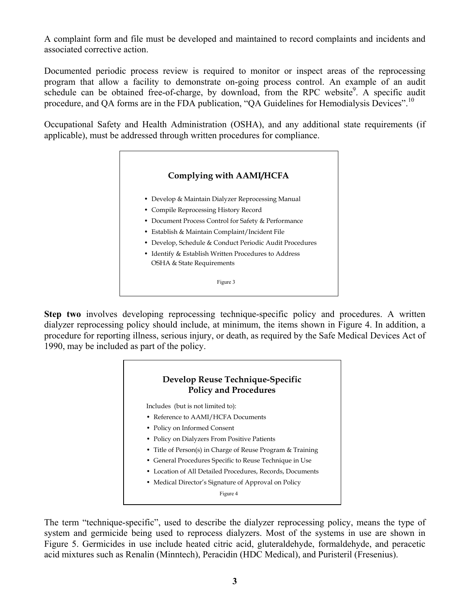A complaint form and file must be developed and maintained to record complaints and incidents and associated corrective action.

Documented periodic process review is required to monitor or inspect areas of the reprocessing program that allow a facility to demonstrate on-going process control. An example of an audit schedule can be obtained free-of-charge, by download, from the RPC website<sup>9</sup>. A specific audit procedure, and OA forms are in the FDA publication, "OA Guidelines for Hemodialysis Devices".<sup>10</sup>

Occupational Safety and Health Administration (OSHA), and any additional state requirements (if applicable), must be addressed through written procedures for compliance.

#### **Complying with AAMI/HCFA**

- Develop & Maintain Dialyzer Reprocessing Manual
- Compile Reprocessing History Record
- Document Process Control for Safety & Performance
- Establish & Maintain Complaint/Incident File
- Develop, Schedule & Conduct Periodic Audit Procedures
- Identify & Establish Written Procedures to Address OSHA & State Requirements

Figure 3

**Step two** involves developing reprocessing technique-specific policy and procedures. A written dialyzer reprocessing policy should include, at minimum, the items shown in Figure 4. In addition, a procedure for reporting illness, serious injury, or death, as required by the Safe Medical Devices Act of 1990, may be included as part of the policy.

### **Develop Reuse Technique-Specific Policy and Procedures**

Includes (but is not limited to):

- Reference to AAMI/HCFA Documents
- Policy on Informed Consent
- Policy on Dialyzers From Positive Patients
- Title of Person(s) in Charge of Reuse Program & Training
- General Procedures Specific to Reuse Technique in Use
- Location of All Detailed Procedures, Records, Documents
- Medical Director's Signature of Approval on Policy

Figure 4

The term "technique-specific", used to describe the dialyzer reprocessing policy, means the type of system and germicide being used to reprocess dialyzers. Most of the systems in use are shown in Figure 5. Germicides in use include heated citric acid, gluteraldehyde, formaldehyde, and peracetic acid mixtures such as Renalin (Minntech), Peracidin (HDC Medical), and Puristeril (Fresenius).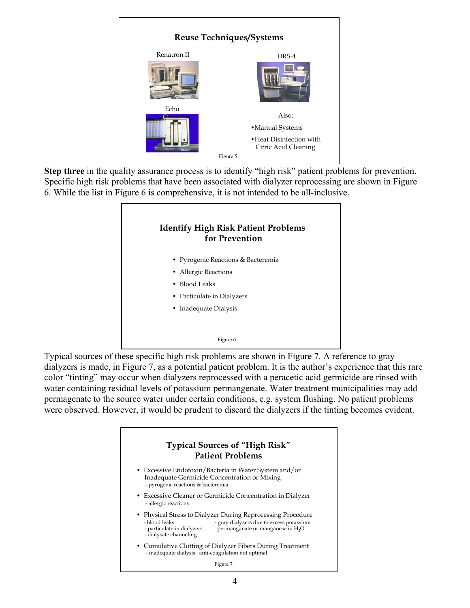

**Step three** in the quality assurance process is to identify "high risk" patient problems for prevention. Specific high risk problems that have been associated with dialyzer reprocessing are shown in Figure 6. While the list in Figure 6 is comprehensive, it is not intended to be all-inclusive.



Typical sources of these specific high risk problems are shown in Figure 7. A reference to gray dialyzers is made, in Figure 7, as a potential patient problem. It is the author's experience that this rare color "tinting" may occur when dialyzers reprocessed with a peracetic acid germicide are rinsed with water containing residual levels of potassium permangenate. Water treatment municipalities may add permagenate to the source water under certain conditions, e.g. system flushing. No patient problems were observed. However, it would be prudent to discard the dialyzers if the tinting becomes evident.

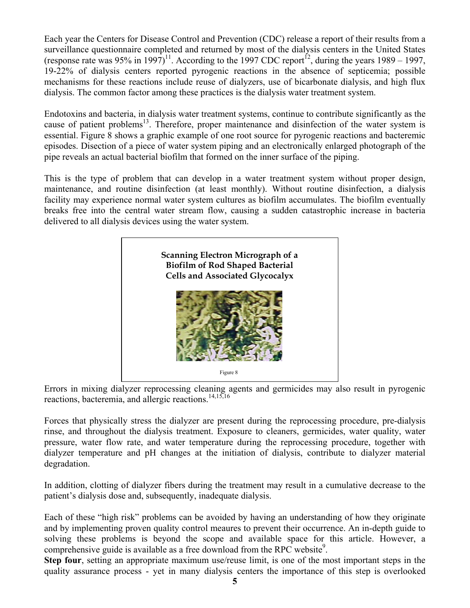Each year the Centers for Disease Control and Prevention (CDC) release a report of their results from a surveillance questionnaire completed and returned by most of the dialysis centers in the United States (response rate was 95% in 1997)<sup>11</sup>. According to the 1997 CDC report<sup>12</sup>, during the years 1989 – 1997, 19-22% of dialysis centers reported pyrogenic reactions in the absence of septicemia; possible mechanisms for these reactions include reuse of dialyzers, use of bicarbonate dialysis, and high flux dialysis. The common factor among these practices is the dialysis water treatment system.

Endotoxins and bacteria, in dialysis water treatment systems, continue to contribute significantly as the cause of patient problems<sup>13</sup>. Therefore, proper maintenance and disinfection of the water system is essential. Figure 8 shows a graphic example of one root source for pyrogenic reactions and bacteremic episodes. Disection of a piece of water system piping and an electronically enlarged photograph of the pipe reveals an actual bacterial biofilm that formed on the inner surface of the piping.

This is the type of problem that can develop in a water treatment system without proper design, maintenance, and routine disinfection (at least monthly). Without routine disinfection, a dialysis facility may experience normal water system cultures as biofilm accumulates. The biofilm eventually breaks free into the central water stream flow, causing a sudden catastrophic increase in bacteria delivered to all dialysis devices using the water system.



Errors in mixing dialyzer reprocessing cleaning agents and germicides may also result in pyrogenic reactions, bacteremia, and allergic reactions.<sup>14,15,16</sup>

Forces that physically stress the dialyzer are present during the reprocessing procedure, pre-dialysis rinse, and throughout the dialysis treatment. Exposure to cleaners, germicides, water quality, water pressure, water flow rate, and water temperature during the reprocessing procedure, together with dialyzer temperature and pH changes at the initiation of dialysis, contribute to dialyzer material degradation.

In addition, clotting of dialyzer fibers during the treatment may result in a cumulative decrease to the patient's dialysis dose and, subsequently, inadequate dialysis.

Each of these "high risk" problems can be avoided by having an understanding of how they originate and by implementing proven quality control meaures to prevent their occurrence. An in-depth guide to solving these problems is beyond the scope and available space for this article. However, a comprehensive guide is available as a free download from the RPC website<sup>9</sup>.

**Step four**, setting an appropriate maximum use/reuse limit, is one of the most important steps in the quality assurance process - yet in many dialysis centers the importance of this step is overlooked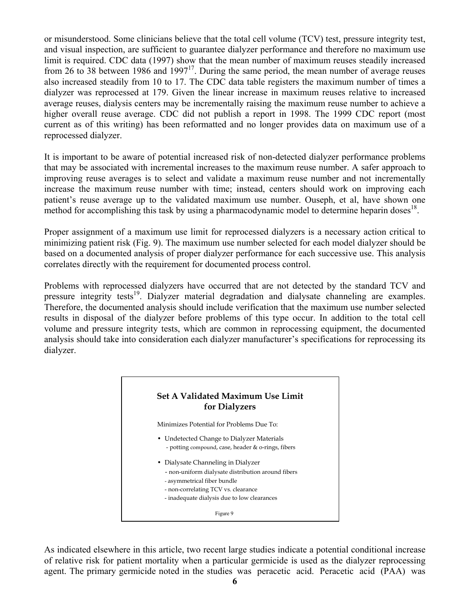or misunderstood. Some clinicians believe that the total cell volume (TCV) test, pressure integrity test, and visual inspection, are sufficient to guarantee dialyzer performance and therefore no maximum use limit is required. CDC data (1997) show that the mean number of maximum reuses steadily increased from 26 to 38 between 1986 and  $1997<sup>17</sup>$ . During the same period, the mean number of average reuses also increased steadily from 10 to 17. The CDC data table registers the maximum number of times a dialyzer was reprocessed at 179. Given the linear increase in maximum reuses relative to increased average reuses, dialysis centers may be incrementally raising the maximum reuse number to achieve a higher overall reuse average. CDC did not publish a report in 1998. The 1999 CDC report (most current as of this writing) has been reformatted and no longer provides data on maximum use of a reprocessed dialyzer.

It is important to be aware of potential increased risk of non-detected dialyzer performance problems that may be associated with incremental increases to the maximum reuse number. A safer approach to improving reuse averages is to select and validate a maximum reuse number and not incrementally increase the maximum reuse number with time; instead, centers should work on improving each patient's reuse average up to the validated maximum use number. Ouseph, et al, have shown one method for accomplishing this task by using a pharmacodynamic model to determine heparin doses<sup>18</sup>.

Proper assignment of a maximum use limit for reprocessed dialyzers is a necessary action critical to minimizing patient risk (Fig. 9). The maximum use number selected for each model dialyzer should be based on a documented analysis of proper dialyzer performance for each successive use. This analysis correlates directly with the requirement for documented process control.

Problems with reprocessed dialyzers have occurred that are not detected by the standard TCV and pressure integrity tests<sup>19</sup>. Dialyzer material degradation and dialysate channeling are examples. Therefore, the documented analysis should include verification that the maximum use number selected results in disposal of the dialyzer before problems of this type occur. In addition to the total cell volume and pressure integrity tests, which are common in reprocessing equipment, the documented analysis should take into consideration each dialyzer manufacturer's specifications for reprocessing its dialyzer.



As indicated elsewhere in this article, two recent large studies indicate a potential conditional increase of relative risk for patient mortality when a particular germicide is used as the dialyzer reprocessing agent. The primary germicide noted in the studies was peracetic acid. Peracetic acid (PAA) was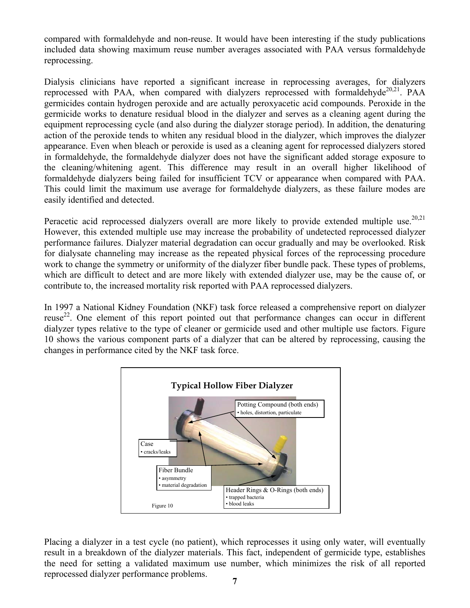compared with formaldehyde and non-reuse. It would have been interesting if the study publications included data showing maximum reuse number averages associated with PAA versus formaldehyde reprocessing.

Dialysis clinicians have reported a significant increase in reprocessing averages, for dialyzers reprocessed with PAA, when compared with dialyzers reprocessed with formaldehyde<sup>20,21</sup>. PAA germicides contain hydrogen peroxide and are actually peroxyacetic acid compounds. Peroxide in the germicide works to denature residual blood in the dialyzer and serves as a cleaning agent during the equipment reprocessing cycle (and also during the dialyzer storage period). In addition, the denaturing action of the peroxide tends to whiten any residual blood in the dialyzer, which improves the dialyzer appearance. Even when bleach or peroxide is used as a cleaning agent for reprocessed dialyzers stored in formaldehyde, the formaldehyde dialyzer does not have the significant added storage exposure to the cleaning/whitening agent. This difference may result in an overall higher likelihood of formaldehyde dialyzers being failed for insufficient TCV or appearance when compared with PAA. This could limit the maximum use average for formaldehyde dialyzers, as these failure modes are easily identified and detected.

Peracetic acid reprocessed dialyzers overall are more likely to provide extended multiple use.<sup>20,21</sup> However, this extended multiple use may increase the probability of undetected reprocessed dialyzer performance failures. Dialyzer material degradation can occur gradually and may be overlooked. Risk for dialysate channeling may increase as the repeated physical forces of the reprocessing procedure work to change the symmetry or uniformity of the dialyzer fiber bundle pack. These types of problems, which are difficult to detect and are more likely with extended dialyzer use, may be the cause of, or contribute to, the increased mortality risk reported with PAA reprocessed dialyzers.

In 1997 a National Kidney Foundation (NKF) task force released a comprehensive report on dialyzer reuse<sup>22</sup>. One element of this report pointed out that performance changes can occur in different dialyzer types relative to the type of cleaner or germicide used and other multiple use factors. Figure 10 shows the various component parts of a dialyzer that can be altered by reprocessing, causing the changes in performance cited by the NKF task force.



 **7**  Placing a dialyzer in a test cycle (no patient), which reprocesses it using only water, will eventually result in a breakdown of the dialyzer materials. This fact, independent of germicide type, establishes the need for setting a validated maximum use number, which minimizes the risk of all reported reprocessed dialyzer performance problems.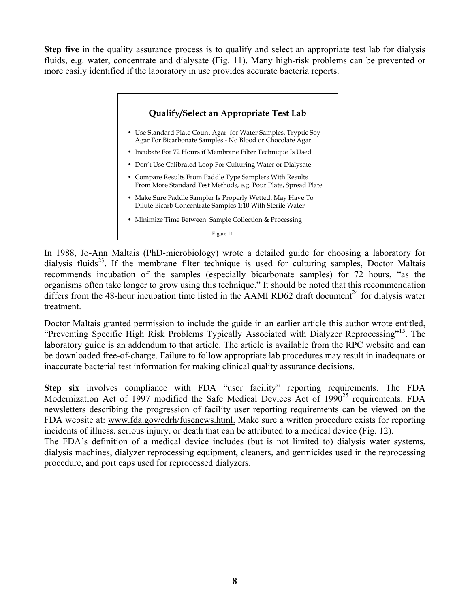**Step five** in the quality assurance process is to qualify and select an appropriate test lab for dialysis fluids, e.g. water, concentrate and dialysate (Fig. 11). Many high-risk problems can be prevented or more easily identified if the laboratory in use provides accurate bacteria reports.



In 1988, Jo-Ann Maltais (PhD-microbiology) wrote a detailed guide for choosing a laboratory for dialysis fluids<sup>23</sup>. If the membrane filter technique is used for culturing samples, Doctor Maltais recommends incubation of the samples (especially bicarbonate samples) for 72 hours, "as the organisms often take longer to grow using this technique." It should be noted that this recommendation differs from the 48-hour incubation time listed in the AAMI RD62 draft document<sup>24</sup> for dialysis water treatment.

Doctor Maltais granted permission to include the guide in an earlier article this author wrote entitled, "Preventing Specific High Risk Problems Typically Associated with Dialyzer Reprocessing"15. The laboratory guide is an addendum to that article. The article is available from the RPC website and can be downloaded free-of-charge. Failure to follow appropriate lab procedures may result in inadequate or inaccurate bacterial test information for making clinical quality assurance decisions.

**Step six** involves compliance with FDA "user facility" reporting requirements. The FDA Modernization Act of 1997 modified the Safe Medical Devices Act of  $1990^{25}$  requirements. FDA newsletters describing the progression of facility user reporting requirements can be viewed on the FDA website at: www.fda.gov/cdrh/fusenews.html. Make sure a written procedure exists for reporting incidents of illness, serious injury, or death that can be attributed to a medical device (Fig. 12).

The FDA's definition of a medical device includes (but is not limited to) dialysis water systems, dialysis machines, dialyzer reprocessing equipment, cleaners, and germicides used in the reprocessing procedure, and port caps used for reprocessed dialyzers.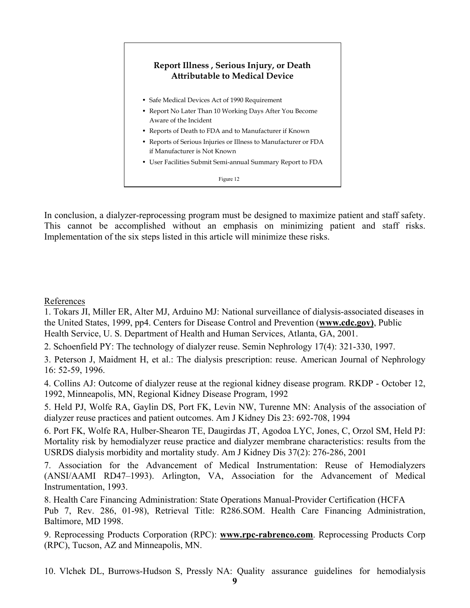## **Report Illness , Serious Injury, or Death Attributable to Medical Device**

- Safe Medical Devices Act of 1990 Requirement
- Report No Later Than 10 Working Days After You Become Aware of the Incident
- Reports of Death to FDA and to Manufacturer if Known
- Reports of Serious Injuries or Illness to Manufacturer or FDA if Manufacturer is Not Known
- User Facilities Submit Semi-annual Summary Report to FDA

Figure 12

In conclusion, a dialyzer-reprocessing program must be designed to maximize patient and staff safety. This cannot be accomplished without an emphasis on minimizing patient and staff risks. Implementation of the six steps listed in this article will minimize these risks.

#### References

1. Tokars JI, Miller ER, Alter MJ, Arduino MJ: National surveillance of dialysis-associated diseases in the United States, 1999, pp4. Centers for Disease Control and Prevention (**[www.cdc.gov\)](http://www.cdc.gov)/)**, Public Health Service, U. S. Department of Health and Human Services, Atlanta, GA, 2001.

2. Schoenfield PY: The technology of dialyzer reuse. Semin Nephrology 17(4): 321-330, 1997.

3. Peterson J, Maidment H, et al.: The dialysis prescription: reuse. American Journal of Nephrology 16: 52-59, 1996.

4. Collins AJ: Outcome of dialyzer reuse at the regional kidney disease program. RKDP - October 12, 1992, Minneapolis, MN, Regional Kidney Disease Program, 1992

5. Held PJ, Wolfe RA, Gaylin DS, Port FK, Levin NW, Turenne MN: Analysis of the association of dialyzer reuse practices and patient outcomes. Am J Kidney Dis 23: 692-708, 1994

6. Port FK, Wolfe RA, Hulber-Shearon TE, Daugirdas JT, Agodoa LYC, Jones, C, Orzol SM, Held PJ: Mortality risk by hemodialyzer reuse practice and dialyzer membrane characteristics: results from the USRDS dialysis morbidity and mortality study. Am J Kidney Dis 37(2): 276-286, 2001

7. Association for the Advancement of Medical Instrumentation: Reuse of Hemodialyzers (ANSI/AAMI RD47–1993). Arlington, VA, Association for the Advancement of Medical Instrumentation, 1993.

8. Health Care Financing Administration: State Operations Manual-Provider Certification (HCFA Pub 7, Rev. 286, 01-98), Retrieval Title: R286.SOM. Health Care Financing Administration, Baltimore, MD 1998.

9. Reprocessing Products Corporation (RPC): **[www.rpc-rabrenco.com](http://www.rpc-rabrenco.com/)**. Reprocessing Products Corp (RPC), Tucson, AZ and Minneapolis, MN.

10. Vlchek DL, Burrows-Hudson S, Pressly NA: Quality assurance guidelines for hemodialysis